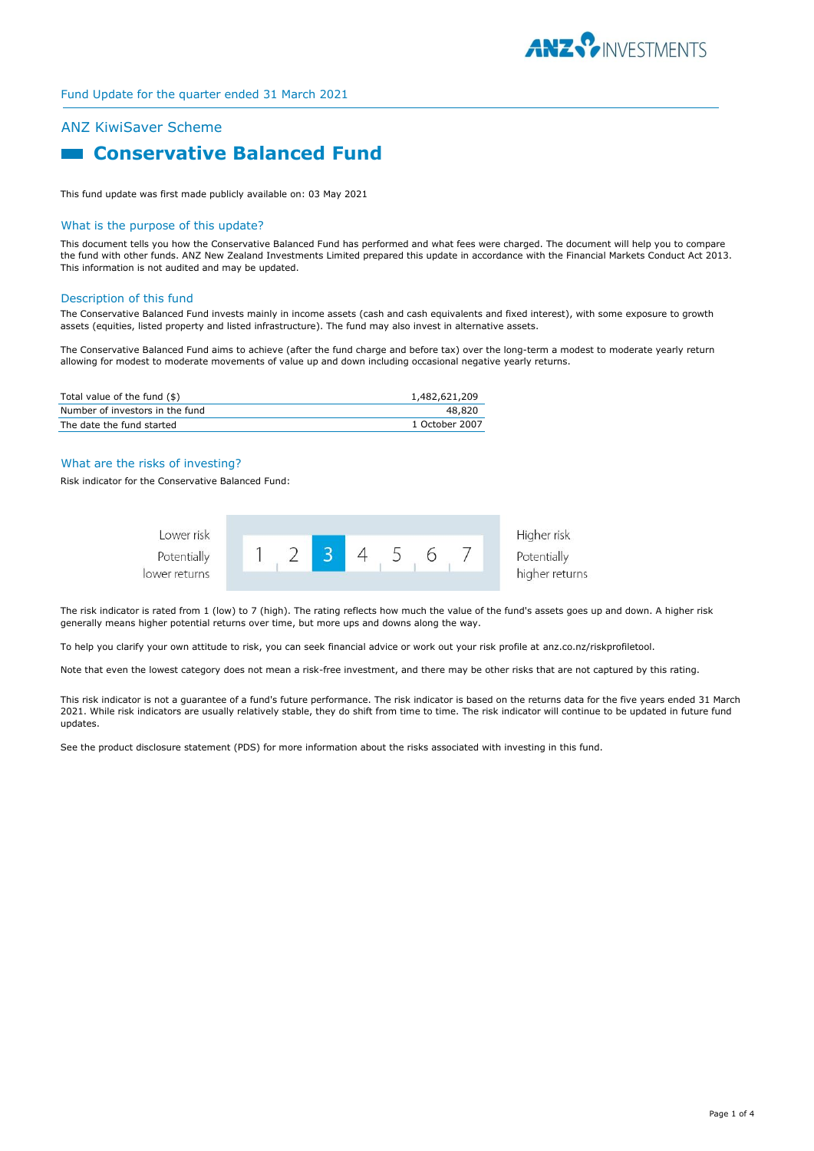

# ANZ KiwiSaver Scheme

# **Example 2 Conservative Balanced Fund**

This fund update was first made publicly available on: 03 May 2021

### What is the purpose of this update?

This document tells you how the Conservative Balanced Fund has performed and what fees were charged. The document will help you to compare the fund with other funds. ANZ New Zealand Investments Limited prepared this update in accordance with the Financial Markets Conduct Act 2013. This information is not audited and may be updated.

#### Description of this fund

The Conservative Balanced Fund invests mainly in income assets (cash and cash equivalents and fixed interest), with some exposure to growth assets (equities, listed property and listed infrastructure). The fund may also invest in alternative assets.

The Conservative Balanced Fund aims to achieve (after the fund charge and before tax) over the long-term a modest to moderate yearly return allowing for modest to moderate movements of value up and down including occasional negative yearly returns.

| Total value of the fund (\$)    | 1,482,621,209  |
|---------------------------------|----------------|
| Number of investors in the fund | 48.820         |
| The date the fund started       | 1 October 2007 |

## What are the risks of investing?

Risk indicator for the Conservative Balanced Fund:



The risk indicator is rated from 1 (low) to 7 (high). The rating reflects how much the value of the fund's assets goes up and down. A higher risk generally means higher potential returns over time, but more ups and downs along the way.

To help you clarify your own attitude to risk, you can seek financial advice or work out your risk profile at anz.co.nz/riskprofiletool.

Note that even the lowest category does not mean a risk-free investment, and there may be other risks that are not captured by this rating.

This risk indicator is not a guarantee of a fund's future performance. The risk indicator is based on the returns data for the five years ended 31 March 2021. While risk indicators are usually relatively stable, they do shift from time to time. The risk indicator will continue to be updated in future fund updates.

See the product disclosure statement (PDS) for more information about the risks associated with investing in this fund.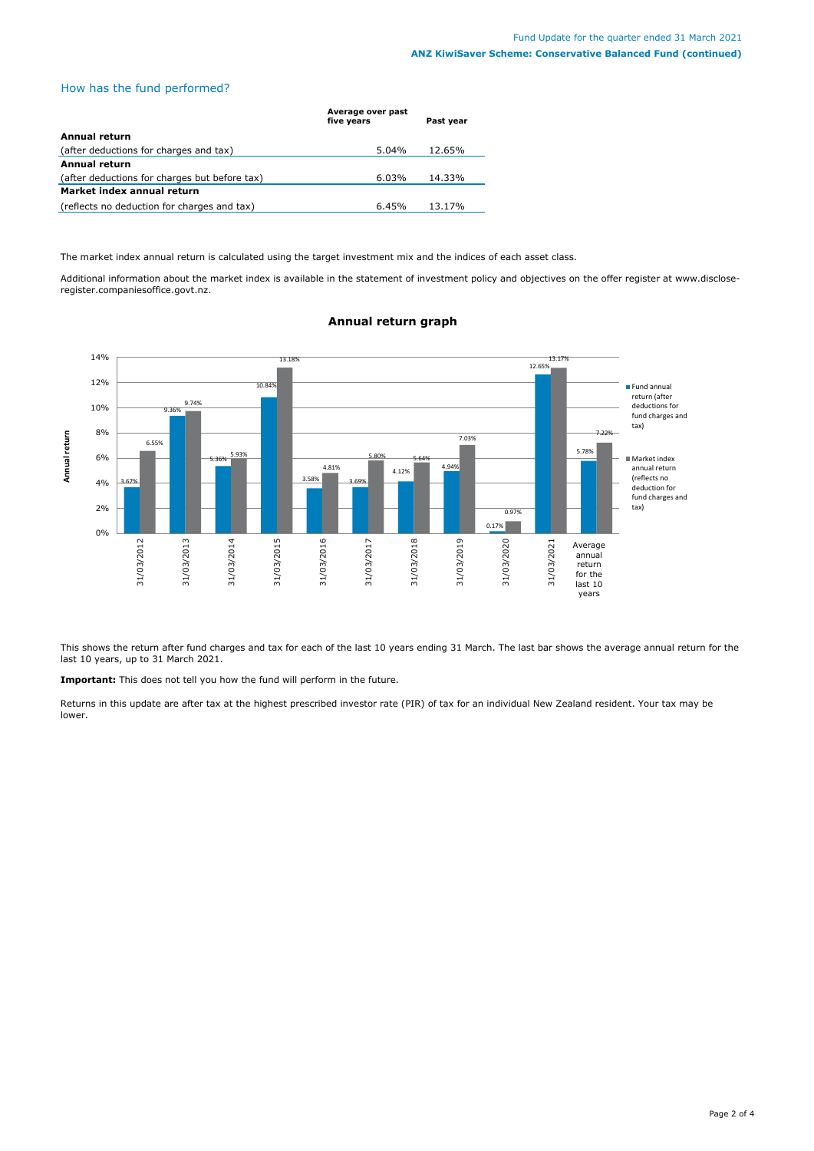## How has the fund performed?

|                                               | Average over past<br>five years | Past year |
|-----------------------------------------------|---------------------------------|-----------|
| Annual return                                 |                                 |           |
| (after deductions for charges and tax)        | $5.04\%$                        | 12.65%    |
| Annual return                                 |                                 |           |
| (after deductions for charges but before tax) | $6.03\%$                        | 14.33%    |
| Market index annual return                    |                                 |           |
| (reflects no deduction for charges and tax)   | 6.45%                           | 13.17%    |

The market index annual return is calculated using the target investment mix and the indices of each asset class.

Additional information about the market index is available in the statement of investment policy and objectives on the offer register at www.discloseregister.companiesoffice.govt.nz.



# **Annual return graph**

This shows the return after fund charges and tax for each of the last 10 years ending 31 March. The last bar shows the average annual return for the last 10 years, up to 31 March 2021.

**Important:** This does not tell you how the fund will perform in the future.

Returns in this update are after tax at the highest prescribed investor rate (PIR) of tax for an individual New Zealand resident. Your tax may be lower.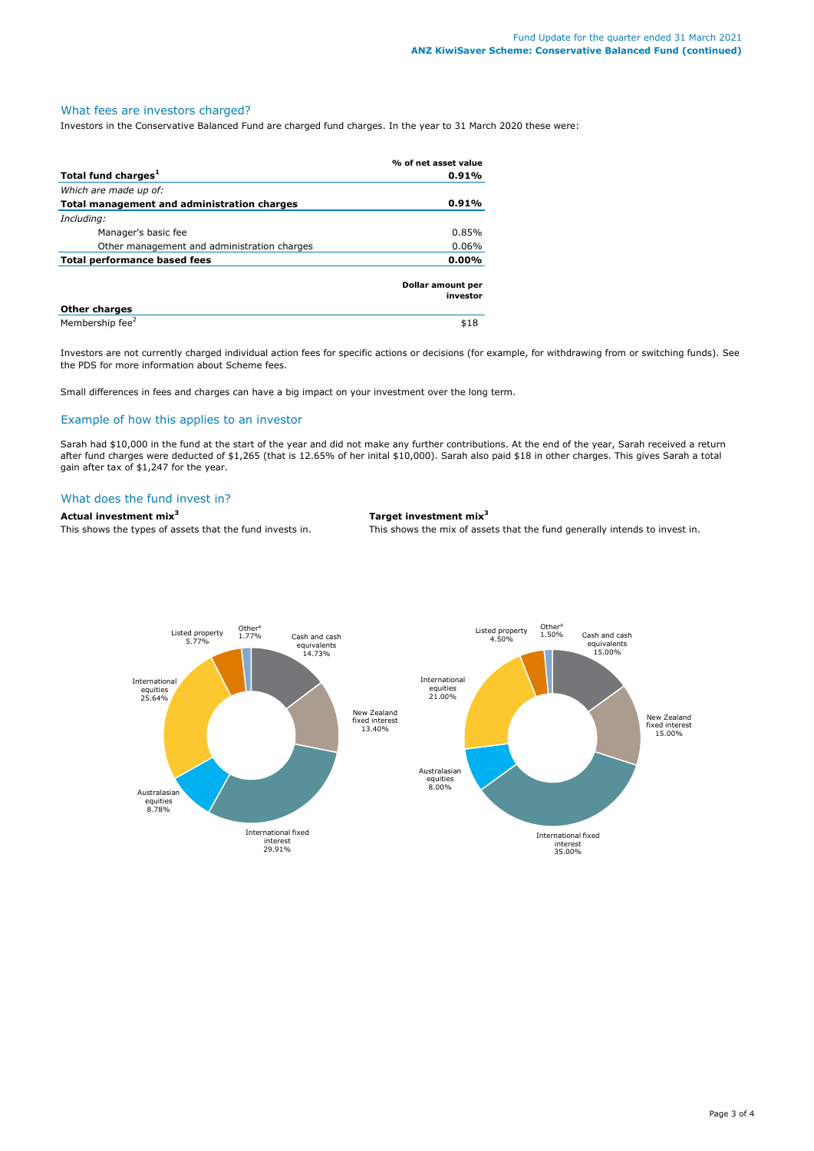# What fees are investors charged?

Investors in the Conservative Balanced Fund are charged fund charges. In the year to 31 March 2020 these were:

|                                             | % of net asset value          |
|---------------------------------------------|-------------------------------|
| Total fund charges <sup>1</sup>             | 0.91%                         |
| Which are made up of:                       |                               |
| Total management and administration charges | 0.91%                         |
| Including:                                  |                               |
| Manager's basic fee                         | $0.85\%$                      |
| Other management and administration charges | $0.06\%$                      |
| Total performance based fees                |                               |
|                                             | Dollar amount per<br>investor |
| <b>Other charges</b>                        |                               |
| Membership fee <sup>2</sup>                 | \$18                          |

Investors are not currently charged individual action fees for specific actions or decisions (for example, for withdrawing from or switching funds). See the PDS for more information about Scheme fees.

Small differences in fees and charges can have a big impact on your investment over the long term.

# Example of how this applies to an investor

Sarah had \$10,000 in the fund at the start of the year and did not make any further contributions. At the end of the year, Sarah received a return after fund charges were deducted of \$1,265 (that is 12.65% of her inital \$10,000). Sarah also paid \$18 in other charges. This gives Sarah a total gain after tax of \$1,247 for the year.

## What does the fund invest in?

## **Actual investment mix<sup>3</sup> Target investment mix<sup>3</sup>**

This shows the types of assets that the fund invests in. This shows the mix of assets that the fund generally intends to invest in.